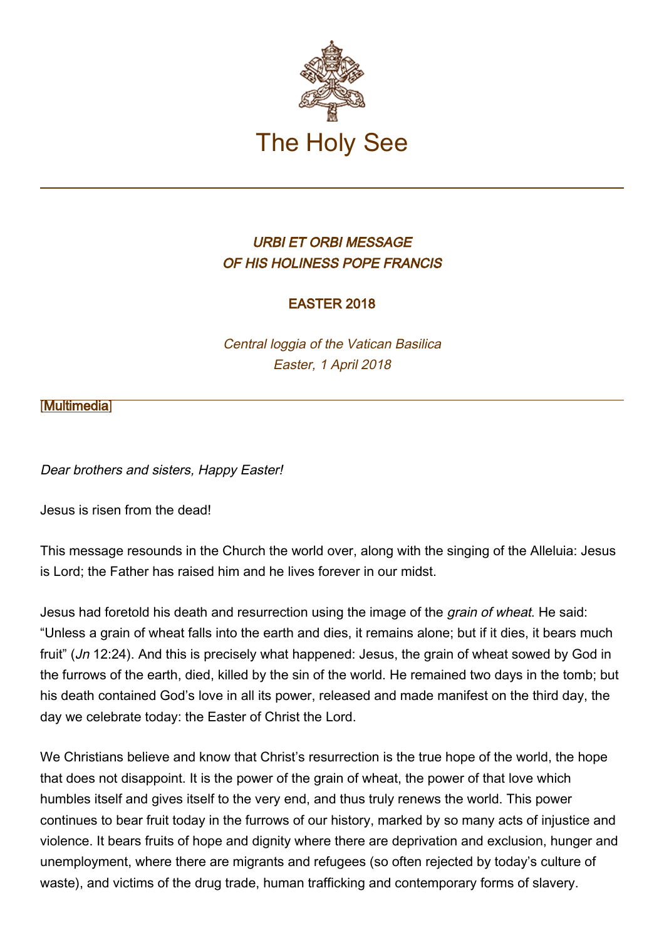

## URBI ET ORBI MESSAGE OF HIS HOLINESS POPE FRANCIS

## EASTER 2018

Central loggia of the Vatican Basilica Easter, 1 April 2018

## [\[Multimedia](http://w2.vatican.va/content/francesco/en/events/event.dir.html/content/vaticanevents/en/2018/4/1/urbi-et-orbi.html)]

Dear brothers and sisters, Happy Easter!

Jesus is risen from the dead!

This message resounds in the Church the world over, along with the singing of the Alleluia: Jesus is Lord; the Father has raised him and he lives forever in our midst.

Jesus had foretold his death and resurrection using the image of the *grain of wheat*. He said: "Unless a grain of wheat falls into the earth and dies, it remains alone; but if it dies, it bears much fruit" (Jn 12:24). And this is precisely what happened: Jesus, the grain of wheat sowed by God in the furrows of the earth, died, killed by the sin of the world. He remained two days in the tomb; but his death contained God's love in all its power, released and made manifest on the third day, the day we celebrate today: the Easter of Christ the Lord.

We Christians believe and know that Christ's resurrection is the true hope of the world, the hope that does not disappoint. It is the power of the grain of wheat, the power of that love which humbles itself and gives itself to the very end, and thus truly renews the world. This power continues to bear fruit today in the furrows of our history, marked by so many acts of injustice and violence. It bears fruits of hope and dignity where there are deprivation and exclusion, hunger and unemployment, where there are migrants and refugees (so often rejected by today's culture of waste), and victims of the drug trade, human trafficking and contemporary forms of slavery.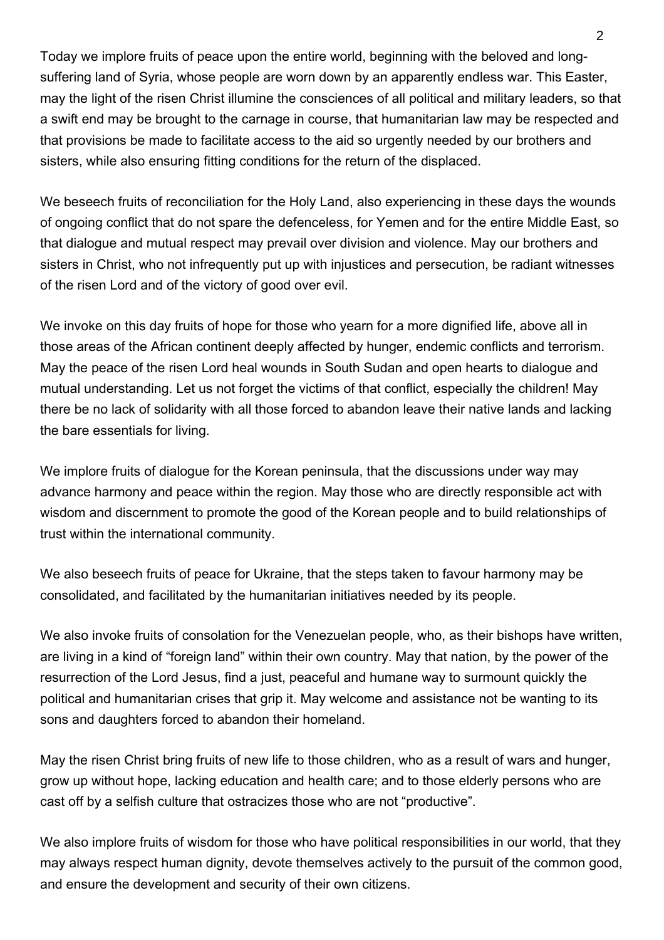Today we implore fruits of peace upon the entire world, beginning with the beloved and longsuffering land of Syria, whose people are worn down by an apparently endless war. This Easter, may the light of the risen Christ illumine the consciences of all political and military leaders, so that a swift end may be brought to the carnage in course, that humanitarian law may be respected and that provisions be made to facilitate access to the aid so urgently needed by our brothers and sisters, while also ensuring fitting conditions for the return of the displaced.

We beseech fruits of reconciliation for the Holy Land, also experiencing in these days the wounds of ongoing conflict that do not spare the defenceless, for Yemen and for the entire Middle East, so that dialogue and mutual respect may prevail over division and violence. May our brothers and sisters in Christ, who not infrequently put up with injustices and persecution, be radiant witnesses of the risen Lord and of the victory of good over evil.

We invoke on this day fruits of hope for those who yearn for a more dignified life, above all in those areas of the African continent deeply affected by hunger, endemic conflicts and terrorism. May the peace of the risen Lord heal wounds in South Sudan and open hearts to dialogue and mutual understanding. Let us not forget the victims of that conflict, especially the children! May there be no lack of solidarity with all those forced to abandon leave their native lands and lacking the bare essentials for living.

We implore fruits of dialogue for the Korean peninsula, that the discussions under way may advance harmony and peace within the region. May those who are directly responsible act with wisdom and discernment to promote the good of the Korean people and to build relationships of trust within the international community.

We also beseech fruits of peace for Ukraine, that the steps taken to favour harmony may be consolidated, and facilitated by the humanitarian initiatives needed by its people.

We also invoke fruits of consolation for the Venezuelan people, who, as their bishops have written, are living in a kind of "foreign land" within their own country. May that nation, by the power of the resurrection of the Lord Jesus, find a just, peaceful and humane way to surmount quickly the political and humanitarian crises that grip it. May welcome and assistance not be wanting to its sons and daughters forced to abandon their homeland.

May the risen Christ bring fruits of new life to those children, who as a result of wars and hunger, grow up without hope, lacking education and health care; and to those elderly persons who are cast off by a selfish culture that ostracizes those who are not "productive".

We also implore fruits of wisdom for those who have political responsibilities in our world, that they may always respect human dignity, devote themselves actively to the pursuit of the common good, and ensure the development and security of their own citizens.